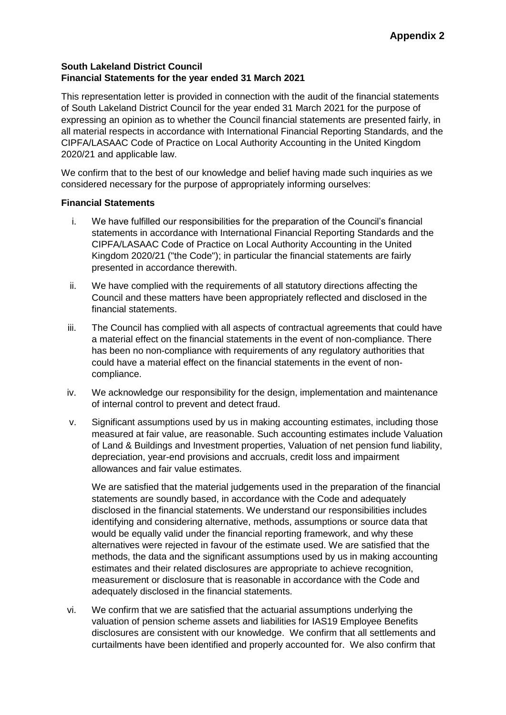# **South Lakeland District Council Financial Statements for the year ended 31 March 2021**

This representation letter is provided in connection with the audit of the financial statements of South Lakeland District Council for the year ended 31 March 2021 for the purpose of expressing an opinion as to whether the Council financial statements are presented fairly, in all material respects in accordance with International Financial Reporting Standards, and the CIPFA/LASAAC Code of Practice on Local Authority Accounting in the United Kingdom 2020/21 and applicable law.

We confirm that to the best of our knowledge and belief having made such inquiries as we considered necessary for the purpose of appropriately informing ourselves:

## **Financial Statements**

- i. We have fulfilled our responsibilities for the preparation of the Council's financial statements in accordance with International Financial Reporting Standards and the CIPFA/LASAAC Code of Practice on Local Authority Accounting in the United Kingdom 2020/21 ("the Code"); in particular the financial statements are fairly presented in accordance therewith.
- ii. We have complied with the requirements of all statutory directions affecting the Council and these matters have been appropriately reflected and disclosed in the financial statements.
- iii. The Council has complied with all aspects of contractual agreements that could have a material effect on the financial statements in the event of non-compliance. There has been no non-compliance with requirements of any regulatory authorities that could have a material effect on the financial statements in the event of noncompliance.
- iv. We acknowledge our responsibility for the design, implementation and maintenance of internal control to prevent and detect fraud.
- v. Significant assumptions used by us in making accounting estimates, including those measured at fair value, are reasonable. Such accounting estimates include Valuation of Land & Buildings and Investment properties, Valuation of net pension fund liability, depreciation, year-end provisions and accruals, credit loss and impairment allowances and fair value estimates.

We are satisfied that the material judgements used in the preparation of the financial statements are soundly based, in accordance with the Code and adequately disclosed in the financial statements. We understand our responsibilities includes identifying and considering alternative, methods, assumptions or source data that would be equally valid under the financial reporting framework, and why these alternatives were rejected in favour of the estimate used. We are satisfied that the methods, the data and the significant assumptions used by us in making accounting estimates and their related disclosures are appropriate to achieve recognition, measurement or disclosure that is reasonable in accordance with the Code and adequately disclosed in the financial statements.

vi. We confirm that we are satisfied that the actuarial assumptions underlying the valuation of pension scheme assets and liabilities for IAS19 Employee Benefits disclosures are consistent with our knowledge. We confirm that all settlements and curtailments have been identified and properly accounted for. We also confirm that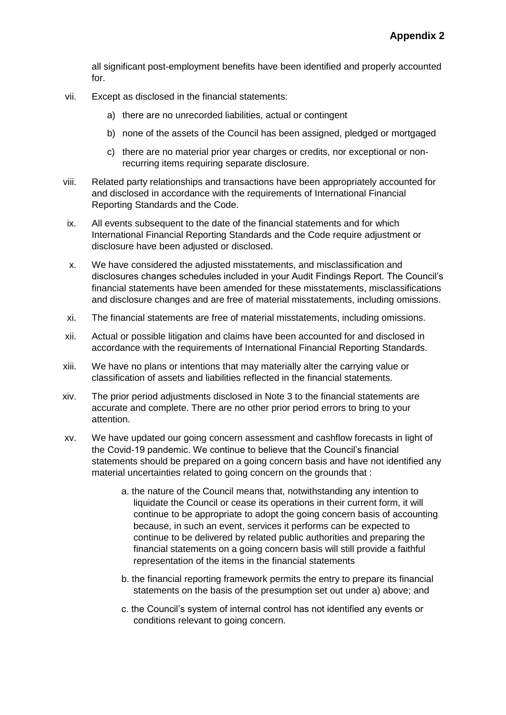all significant post-employment benefits have been identified and properly accounted for.

- vii. Except as disclosed in the financial statements:
	- a) there are no unrecorded liabilities, actual or contingent
	- b) none of the assets of the Council has been assigned, pledged or mortgaged
	- c) there are no material prior year charges or credits, nor exceptional or nonrecurring items requiring separate disclosure.
- viii. Related party relationships and transactions have been appropriately accounted for and disclosed in accordance with the requirements of International Financial Reporting Standards and the Code.
- ix. All events subsequent to the date of the financial statements and for which International Financial Reporting Standards and the Code require adjustment or disclosure have been adjusted or disclosed.
- x. We have considered the adjusted misstatements, and misclassification and disclosures changes schedules included in your Audit Findings Report. The Council's financial statements have been amended for these misstatements, misclassifications and disclosure changes and are free of material misstatements, including omissions.
- xi. The financial statements are free of material misstatements, including omissions.
- xii. Actual or possible litigation and claims have been accounted for and disclosed in accordance with the requirements of International Financial Reporting Standards.
- xiii. We have no plans or intentions that may materially alter the carrying value or classification of assets and liabilities reflected in the financial statements.
- xiv. The prior period adjustments disclosed in Note 3 to the financial statements are accurate and complete. There are no other prior period errors to bring to your attention.
- xv. We have updated our going concern assessment and cashflow forecasts in light of the Covid-19 pandemic. We continue to believe that the Council's financial statements should be prepared on a going concern basis and have not identified any material uncertainties related to going concern on the grounds that :
	- a. the nature of the Council means that, notwithstanding any intention to liquidate the Council or cease its operations in their current form, it will continue to be appropriate to adopt the going concern basis of accounting because, in such an event, services it performs can be expected to continue to be delivered by related public authorities and preparing the financial statements on a going concern basis will still provide a faithful representation of the items in the financial statements
	- b. the financial reporting framework permits the entry to prepare its financial statements on the basis of the presumption set out under a) above; and
	- c. the Council's system of internal control has not identified any events or conditions relevant to going concern.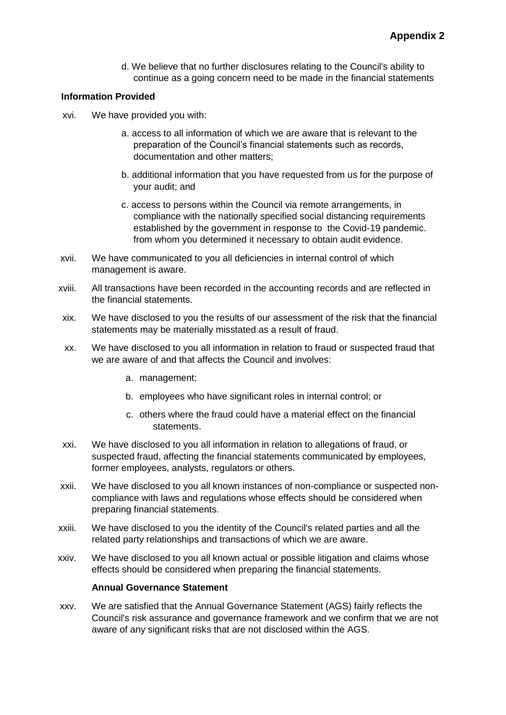d. We believe that no further disclosures relating to the Council's ability to continue as a going concern need to be made in the financial statements

#### **Information Provided**

- xvi. We have provided you with:
	- a. access to all information of which we are aware that is relevant to the preparation of the Council's financial statements such as records, documentation and other matters;
	- b. additional information that you have requested from us for the purpose of your audit; and
	- c. access to persons within the Council via remote arrangements, in compliance with the nationally specified social distancing requirements established by the government in response to the Covid-19 pandemic. from whom you determined it necessary to obtain audit evidence.
- xvii. We have communicated to you all deficiencies in internal control of which management is aware.
- xviii. All transactions have been recorded in the accounting records and are reflected in the financial statements.
- xix. We have disclosed to you the results of our assessment of the risk that the financial statements may be materially misstated as a result of fraud.
- xx. We have disclosed to you all information in relation to fraud or suspected fraud that we are aware of and that affects the Council and involves:
	- a. management;
	- b. employees who have significant roles in internal control; or
	- c. others where the fraud could have a material effect on the financial statements.
- xxi. We have disclosed to you all information in relation to allegations of fraud, or suspected fraud, affecting the financial statements communicated by employees, former employees, analysts, regulators or others.
- xxii. We have disclosed to you all known instances of non-compliance or suspected noncompliance with laws and regulations whose effects should be considered when preparing financial statements.
- xxiii. We have disclosed to you the identity of the Council's related parties and all the related party relationships and transactions of which we are aware.
- xxiv. We have disclosed to you all known actual or possible litigation and claims whose effects should be considered when preparing the financial statements.

#### **Annual Governance Statement**

xxv. We are satisfied that the Annual Governance Statement (AGS) fairly reflects the Council's risk assurance and governance framework and we confirm that we are not aware of any significant risks that are not disclosed within the AGS.